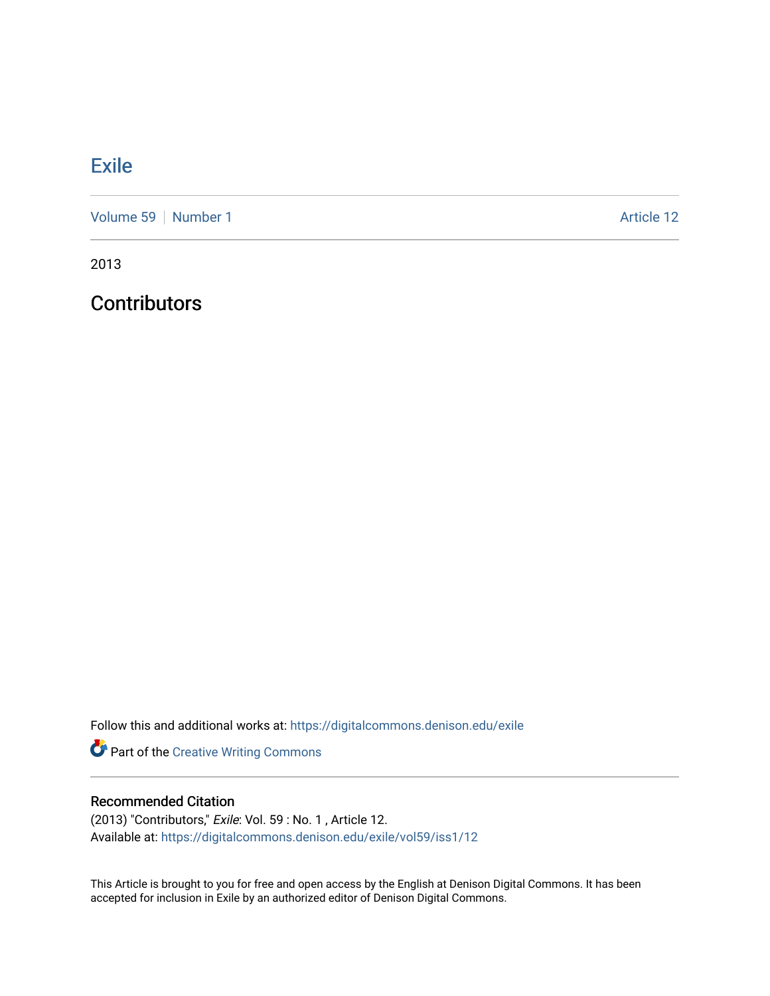## **[Exile](https://digitalcommons.denison.edu/exile)**

[Volume 59](https://digitalcommons.denison.edu/exile/vol59) [Number 1](https://digitalcommons.denison.edu/exile/vol59/iss1) Article 12

2013

**Contributors** 

Follow this and additional works at: [https://digitalcommons.denison.edu/exile](https://digitalcommons.denison.edu/exile?utm_source=digitalcommons.denison.edu%2Fexile%2Fvol59%2Fiss1%2F12&utm_medium=PDF&utm_campaign=PDFCoverPages) 

Part of the [Creative Writing Commons](http://network.bepress.com/hgg/discipline/574?utm_source=digitalcommons.denison.edu%2Fexile%2Fvol59%2Fiss1%2F12&utm_medium=PDF&utm_campaign=PDFCoverPages) 

## Recommended Citation

(2013) "Contributors," Exile: Vol. 59 : No. 1 , Article 12. Available at: [https://digitalcommons.denison.edu/exile/vol59/iss1/12](https://digitalcommons.denison.edu/exile/vol59/iss1/12?utm_source=digitalcommons.denison.edu%2Fexile%2Fvol59%2Fiss1%2F12&utm_medium=PDF&utm_campaign=PDFCoverPages)

This Article is brought to you for free and open access by the English at Denison Digital Commons. It has been accepted for inclusion in Exile by an authorized editor of Denison Digital Commons.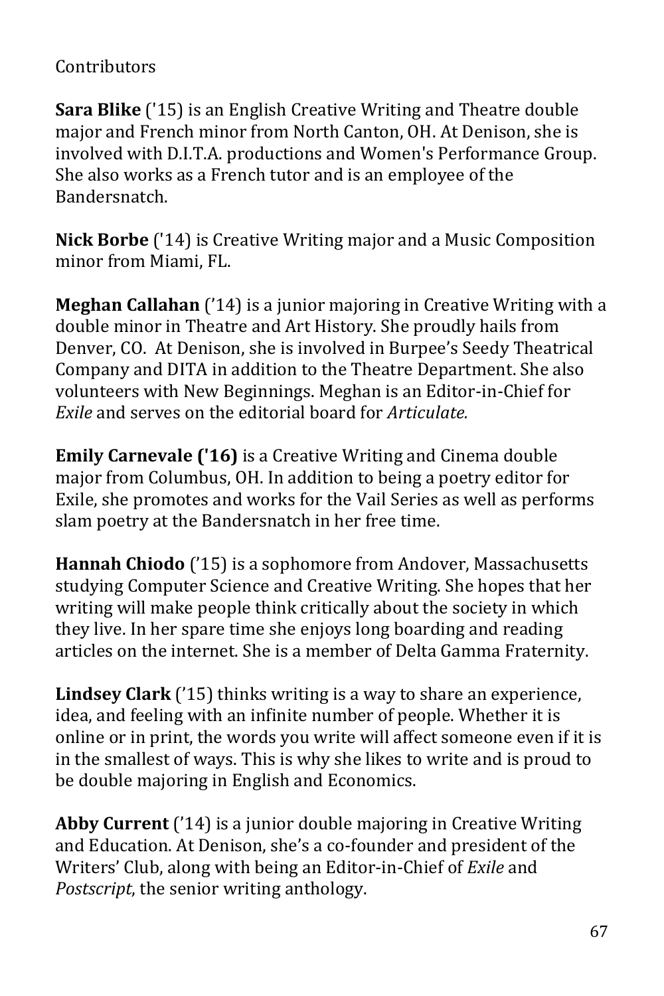## Contributors

**Sara Blike** ('15) is an English Creative Writing and Theatre double major and French minor from North Canton, OH. At Denison, she is involved with D.I.T.A. productions and Women's Performance Group. She also works as a French tutor and is an employee of the Bandersnatch.

**Nick Borbe** ('14) is Creative Writing major and a Music Composition minor from Miami, FL.

**Meghan Callahan** ('14) is a junior majoring in Creative Writing with a double minor in Theatre and Art History. She proudly hails from Denver, CO. At Denison, she is involved in Burpee's Seedy Theatrical Company and DITA in addition to the Theatre Department. She also volunteers with New Beginnings. Meghan is an Editor-in-Chief for *Exile* and serves on the editorial board for *Articulate.* 

**Emily Carnevale ('16)** is a Creative Writing and Cinema double major from Columbus, OH. In addition to being a poetry editor for Exile, she promotes and works for the Vail Series as well as performs slam poetry at the Bandersnatch in her free time.

**Hannah Chiodo** ('15) is a sophomore from Andover, Massachusetts studying Computer Science and Creative Writing. She hopes that her writing will make people think critically about the society in which they live. In her spare time she enjoys long boarding and reading articles on the internet. She is a member of Delta Gamma Fraternity.

**Lindsey Clark** ('15) thinks writing is a way to share an experience, idea, and feeling with an infinite number of people. Whether it is online or in print, the words you write will affect someone even if it is in the smallest of ways. This is why she likes to write and is proud to be double majoring in English and Economics.

**Abby Current** ('14) is a junior double majoring in Creative Writing and Education. At Denison, she's a co-founder and president of the Writers' Club, along with being an Editor-in-Chief of *Exile* and *Postscript*, the senior writing anthology.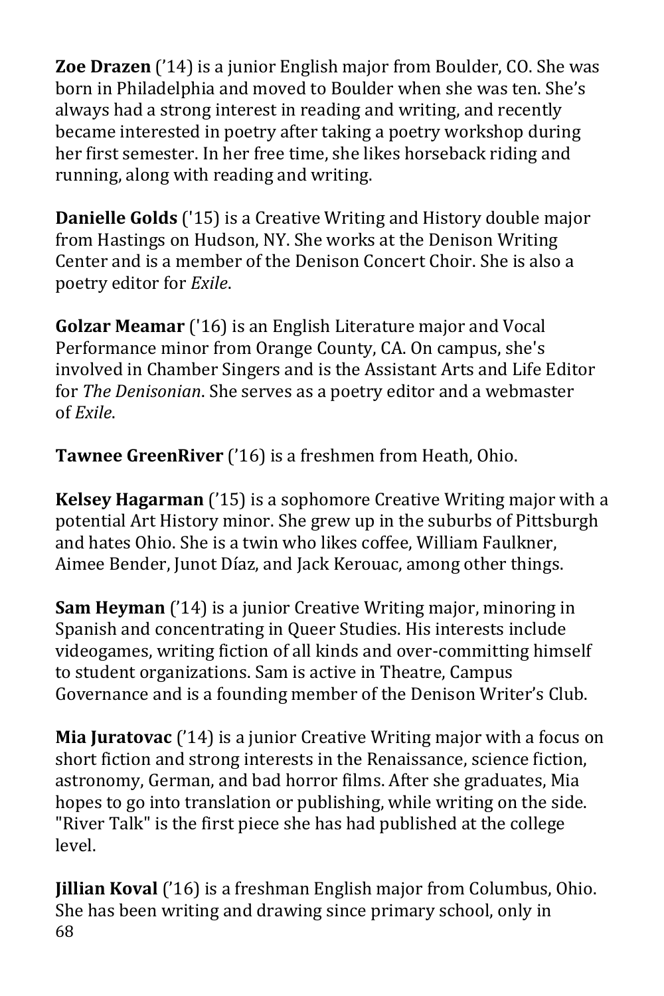**Zoe Drazen** ('14) is a junior English major from Boulder, CO. She was born in Philadelphia and moved to Boulder when she was ten. She's always had a strong interest in reading and writing, and recently became interested in poetry after taking a poetry workshop during her first semester. In her free time, she likes horseback riding and running, along with reading and writing.

**Danielle Golds** ('15) is a Creative Writing and History double major from Hastings on Hudson, NY. She works at the Denison Writing Center and is a member of the Denison Concert Choir. She is also a poetry editor for *Exile*.

**Golzar Meamar** ('16) is an English Literature major and Vocal Performance minor from Orange County, CA. On campus, she's involved in Chamber Singers and is the Assistant Arts and Life Editor for *The Denisonian*. She serves as a poetry editor and a webmaster of *Exile*.

**Tawnee GreenRiver** ('16) is a freshmen from Heath, Ohio.

**Kelsey Hagarman** ('15) is a sophomore Creative Writing major with a potential Art History minor. She grew up in the suburbs of Pittsburgh and hates Ohio. She is a twin who likes coffee, William Faulkner, Aimee Bender, Junot Díaz, and Jack Kerouac, among other things.

**Sam Heyman** ('14) is a junior Creative Writing major, minoring in Spanish and concentrating in Queer Studies. His interests include videogames, writing fiction of all kinds and over-committing himself to student organizations. Sam is active in Theatre, Campus Governance and is a founding member of the Denison Writer's Club.

**Mia Juratovac** ('14) is a junior Creative Writing major with a focus on short fiction and strong interests in the Renaissance, science fiction, astronomy, German, and bad horror films. After she graduates, Mia hopes to go into translation or publishing, while writing on the side. "River Talk" is the first piece she has had published at the college level.

68 **Jillian Koval** ('16) is a freshman English major from Columbus, Ohio. She has been writing and drawing since primary school, only in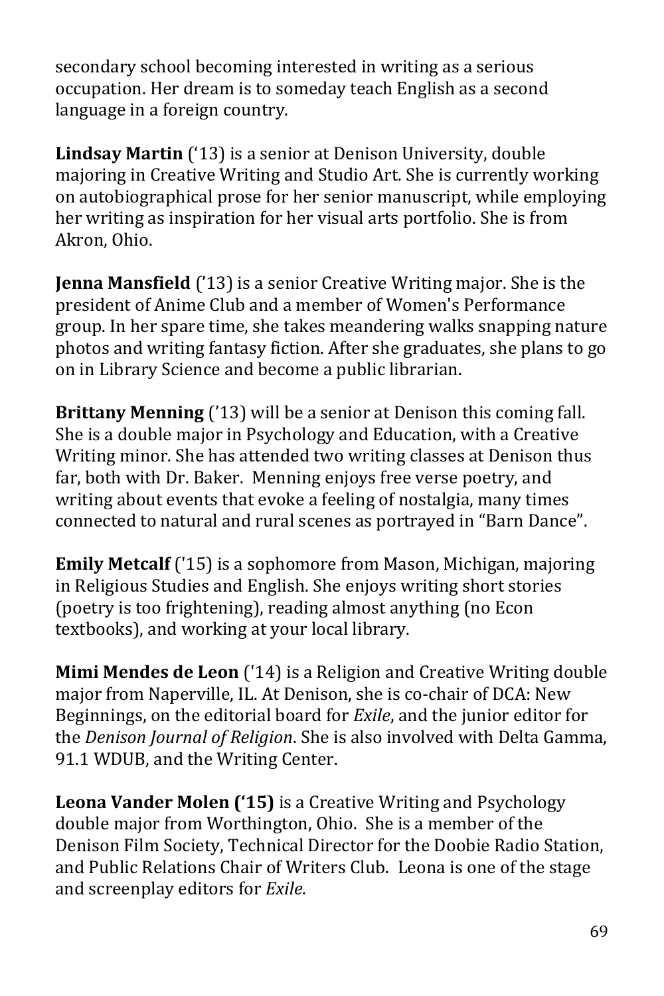secondary school becoming interested in writing as a serious occupation. Her dream is to someday teach English as a second language in a foreign country.

**Lindsay Martin** ('13) is a senior at Denison University, double majoring in Creative Writing and Studio Art. She is currently working on autobiographical prose for her senior manuscript, while employing her writing as inspiration for her visual arts portfolio. She is from Akron, Ohio.

**Jenna Mansfield** ('13) is a senior Creative Writing major. She is the president of Anime Club and a member of Women's Performance group. In her spare time, she takes meandering walks snapping nature photos and writing fantasy fiction. After she graduates, she plans to go on in Library Science and become a public librarian.

**Brittany Menning** ('13) will be a senior at Denison this coming fall. She is a double major in Psychology and Education, with a Creative Writing minor. She has attended two writing classes at Denison thus far, both with Dr. Baker. Menning enjoys free verse poetry, and writing about events that evoke a feeling of nostalgia, many times connected to natural and rural scenes as portrayed in "Barn Dance".

**Emily Metcalf** ('15) is a sophomore from Mason, Michigan, majoring in Religious Studies and English. She enjoys writing short stories (poetry is too frightening), reading almost anything (no Econ textbooks), and working at your local library.

**Mimi Mendes de Leon** ('14) is a Religion and Creative Writing double major from Naperville, IL. At Denison, she is co-chair of DCA: New Beginnings, on the editorial board for *Exile*, and the junior editor for the *Denison Journal of Religion*. She is also involved with Delta Gamma, 91.1 WDUB, and the Writing Center.

**Leona Vander Molen ('15)** is a Creative Writing and Psychology double major from Worthington, Ohio. She is a member of the Denison Film Society, Technical Director for the Doobie Radio Station, and Public Relations Chair of Writers Club. Leona is one of the stage and screenplay editors for *Exile*.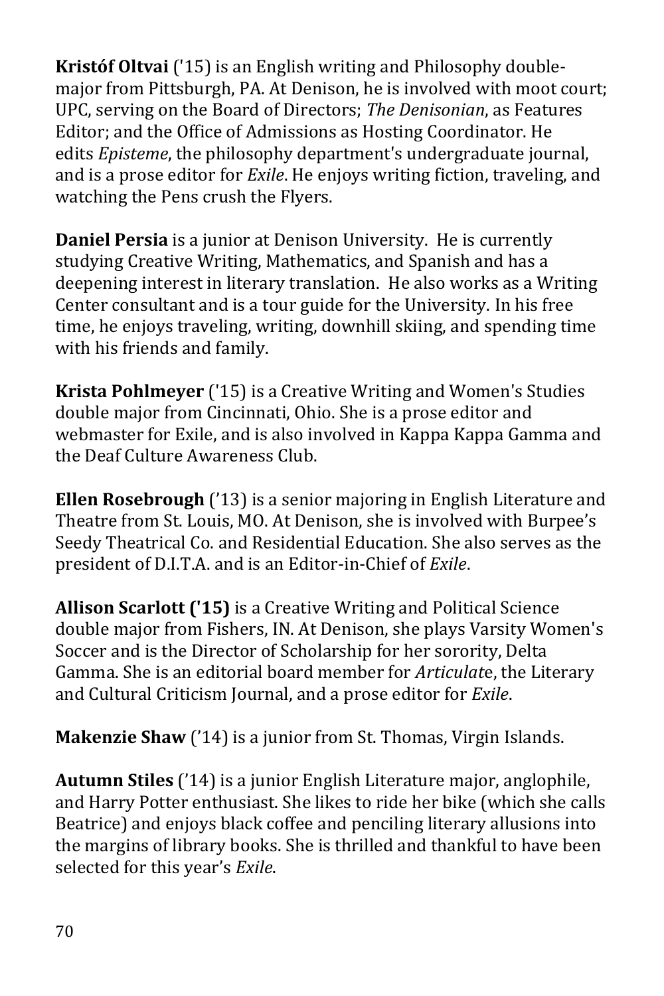**Kristóf Oltvai** ('15) is an English writing and Philosophy doublemajor from Pittsburgh, PA. At Denison, he is involved with moot court; UPC, serving on the Board of Directors; *The Denisonian*, as Features Editor; and the Office of Admissions as Hosting Coordinator. He edits *Episteme*, the philosophy department's undergraduate journal, and is a prose editor for *Exile*. He enjoys writing fiction, traveling, and watching the Pens crush the Flyers.

**Daniel Persia** is a junior at Denison University. He is currently studying Creative Writing, Mathematics, and Spanish and has a deepening interest in literary translation. He also works as a Writing Center consultant and is a tour guide for the University. In his free time, he enjoys traveling, writing, downhill skiing, and spending time with his friends and family.

**Krista Pohlmeyer** ('15) is a Creative Writing and Women's Studies double major from Cincinnati, Ohio. She is a prose editor and webmaster for Exile, and is also involved in Kappa Kappa Gamma and the Deaf Culture Awareness Club.

**Ellen Rosebrough** ('13) is a senior majoring in English Literature and Theatre from St. Louis, MO. At Denison, she is involved with Burpee's Seedy Theatrical Co. and Residential Education. She also serves as the president of D.I.T.A. and is an Editor-in-Chief of *Exile*.

**Allison Scarlott ('15)** is a Creative Writing and Political Science double major from Fishers, IN. At Denison, she plays Varsity Women's Soccer and is the Director of Scholarship for her sorority, Delta Gamma. She is an editorial board member for *Articulat*e, the Literary and Cultural Criticism Journal, and a prose editor for *Exile*.

**Makenzie Shaw** ('14) is a junior from St. Thomas, Virgin Islands.

**Autumn Stiles** ('14) is a junior English Literature major, anglophile, and Harry Potter enthusiast. She likes to ride her bike (which she calls Beatrice) and enjoys black coffee and penciling literary allusions into the margins of library books. She is thrilled and thankful to have been selected for this year's *Exile*.